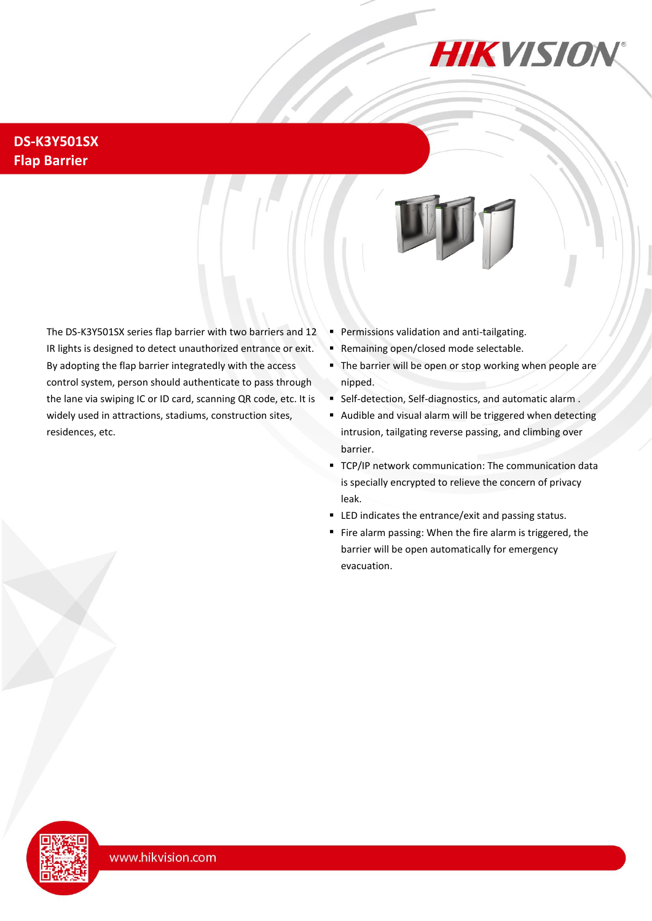

## **DS-K3Y501SX Flap Barrier**

The DS-K3Y501SX series flap barrier with two barriers and 12 IR lights is designed to detect unauthorized entrance or exit. By adopting the flap barrier integratedly with the access control system, person should authenticate to pass through the lane via swiping IC or ID card, scanning QR code, etc. It is widely used in attractions, stadiums, construction sites, residences, etc.

- **Permissions validation and anti-tailgating.**
- **Remaining open/closed mode selectable.**
- The barrier will be open or stop working when people are nipped.
- Self-detection, Self-diagnostics, and automatic alarm .
- Audible and visual alarm will be triggered when detecting intrusion, tailgating reverse passing, and climbing over barrier.
- TCP/IP network communication: The communication data is specially encrypted to relieve the concern of privacy leak.
- LED indicates the entrance/exit and passing status.
- Fire alarm passing: When the fire alarm is triggered, the barrier will be open automatically for emergency evacuation.

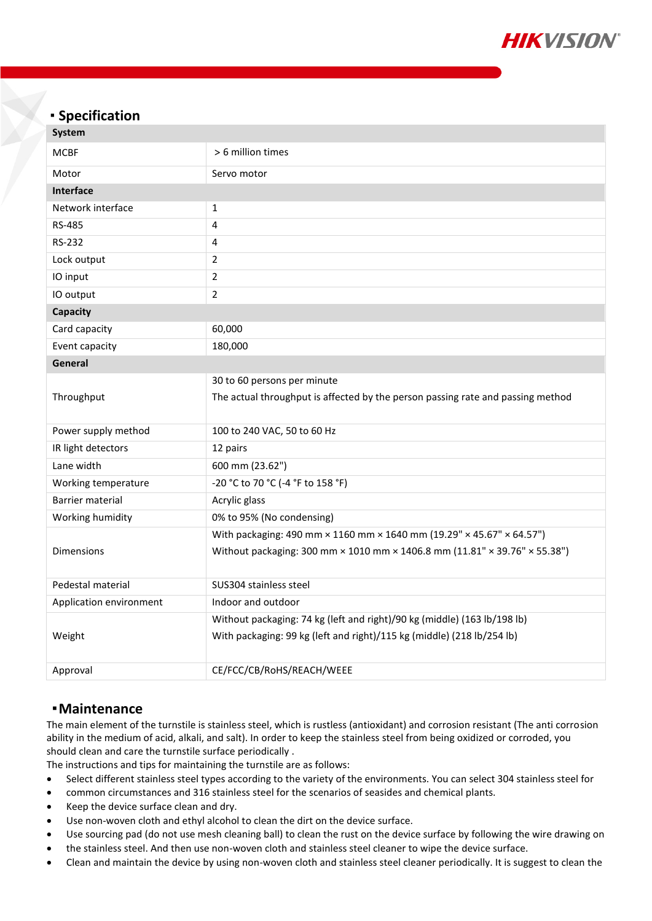

### **Specification**

| <b>System</b>           |                                                                                 |  |
|-------------------------|---------------------------------------------------------------------------------|--|
| <b>MCBF</b>             | > 6 million times                                                               |  |
| Motor                   | Servo motor                                                                     |  |
| <b>Interface</b>        |                                                                                 |  |
| Network interface       | $\mathbf 1$                                                                     |  |
| <b>RS-485</b>           | 4                                                                               |  |
| RS-232                  | 4                                                                               |  |
| Lock output             | $\overline{2}$                                                                  |  |
| IO input                | $\overline{2}$                                                                  |  |
| IO output               | $\overline{2}$                                                                  |  |
| Capacity                |                                                                                 |  |
| Card capacity           | 60,000                                                                          |  |
| Event capacity          | 180,000                                                                         |  |
| General                 |                                                                                 |  |
|                         | 30 to 60 persons per minute                                                     |  |
| Throughput              | The actual throughput is affected by the person passing rate and passing method |  |
| Power supply method     | 100 to 240 VAC, 50 to 60 Hz                                                     |  |
| IR light detectors      | 12 pairs                                                                        |  |
| Lane width              | 600 mm (23.62")                                                                 |  |
| Working temperature     | -20 °C to 70 °C (-4 °F to 158 °F)                                               |  |
| <b>Barrier material</b> | Acrylic glass                                                                   |  |
| Working humidity        | 0% to 95% (No condensing)                                                       |  |
|                         | With packaging: 490 mm × 1160 mm × 1640 mm (19.29" × 45.67" × 64.57")           |  |
| Dimensions              | Without packaging: 300 mm × 1010 mm × 1406.8 mm (11.81" × 39.76" × 55.38")      |  |
| Pedestal material       | SUS304 stainless steel                                                          |  |
| Application environment | Indoor and outdoor                                                              |  |
|                         | Without packaging: 74 kg (left and right)/90 kg (middle) (163 lb/198 lb)        |  |
| Weight                  | With packaging: 99 kg (left and right)/115 kg (middle) (218 lb/254 lb)          |  |
| Approval                | CE/FCC/CB/RoHS/REACH/WEEE                                                       |  |
|                         |                                                                                 |  |

#### **Maintenance**

The main element of the turnstile is stainless steel, which is rustless (antioxidant) and corrosion resistant (The anti corrosion ability in the medium of acid, alkali, and salt). In order to keep the stainless steel from being oxidized or corroded, you should clean and care the turnstile surface periodically .

The instructions and tips for maintaining the turnstile are as follows:

- Select different stainless steel types according to the variety of the environments. You can select 304 stainless steel for
- common circumstances and 316 stainless steel for the scenarios of seasides and chemical plants.
- Keep the device surface clean and dry.
- Use non-woven cloth and ethyl alcohol to clean the dirt on the device surface.
- Use sourcing pad (do not use mesh cleaning ball) to clean the rust on the device surface by following the wire drawing on
- the stainless steel. And then use non-woven cloth and stainless steel cleaner to wipe the device surface.
- Clean and maintain the device by using non-woven cloth and stainless steel cleaner periodically. It is suggest to clean the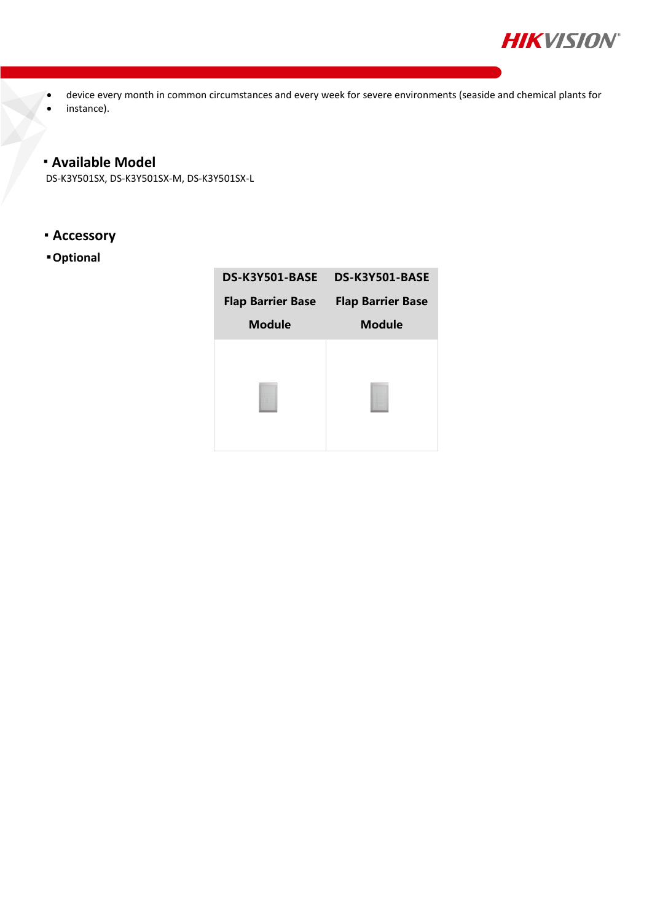

- device every month in common circumstances and every week for severe environments (seaside and chemical plants for
- instance).

### **Available Model**

DS-K3Y501SX, DS-K3Y501SX-M, DS-K3Y501SX-L

- **Accessory**
- **Optional**

| <b>DS-K3Y501-BASE</b>    | DS-K3Y501-BASE           |
|--------------------------|--------------------------|
| <b>Flap Barrier Base</b> | <b>Flap Barrier Base</b> |
| <b>Module</b>            | <b>Module</b>            |
|                          |                          |